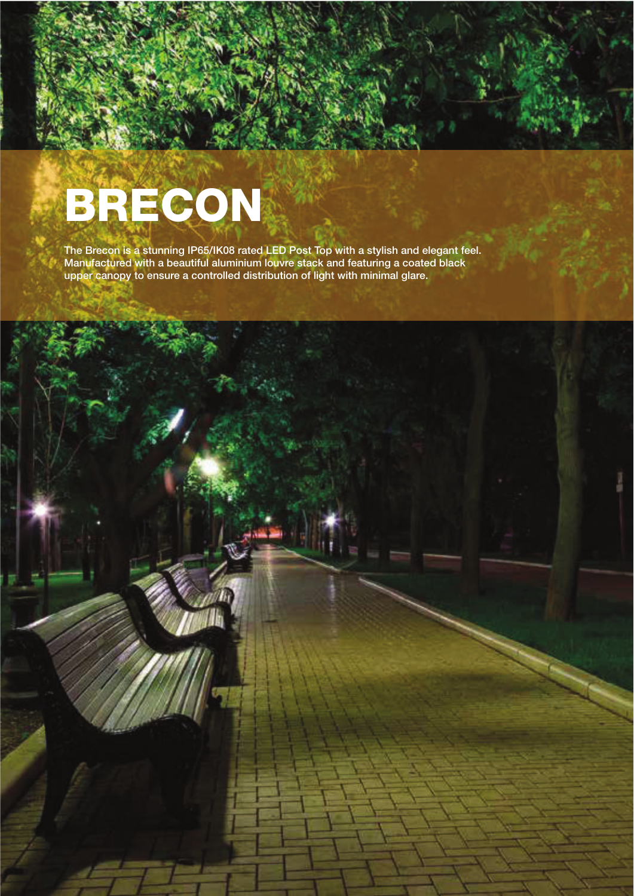## BRECON

The Brecon is a stunning IP65/IK08 rated LED Post Top with a stylish and elegant feel. Manufactured with a beautiful aluminium louvre stack and featuring a coated black upper canopy to ensure a controlled distribution of light with minimal glare.

street and external lighting specialist